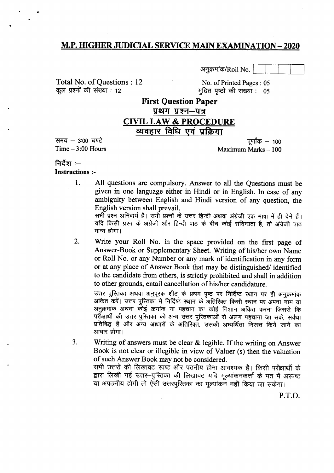#### **M.P. HIGHER JUDICIAL SERVICE MAIN EXAMINATION - 2020**

अनुक्रमांक/Roll No.

Total No. of Questions: 12 कूल प्रश्नों की संख्या : 12

No. of Printed Pages: 05 मुद्रित पृष्ठों की संख्या : 05

# **First Ouestion Paper** प्रथम प्रश्न–पत्र

#### **CIVIL LAW & PROCEDURE** व्यवहार विधि एवं प्रक्रिया

समय  $-$  3:00 घण्टे Time  $-3:00$  Hours

पर्णांक – 100 Maximum Marks - 100

#### निर्देश $=$ **Instructions:-**

1.

All questions are compulsory. Answer to all the Questions must be given in one language either in Hindi or in English. In case of any ambiguity between English and Hindi version of any question, the English version shall prevail.

सभी प्रश्न अनिवार्य हैं। सभी प्रश्नों के उत्तर हिन्दी अथवा अंग्रेजी एक भाषा में ही देने हैं। यदि किसी प्रश्न के अंग्रेजी और हिन्दी पाठ के बीच कोई संदिग्धता है. तो अंग्रेजी पाठ मान्य होगा।

 $2.$ Write your Roll No. in the space provided on the first page of Answer-Book or Supplementary Sheet. Writing of his/her own Name or Roll No. or any Number or any mark of identification in any form or at any place of Answer Book that may be distinguished/ identified to the candidate from others, is strictly prohibited and shall in addition to other grounds, entail cancellation of his/her candidature.

उत्तर पुस्तिका अथवा अनुपूरक शीट के प्रथम पृष्ठ पर निर्दिष्ट स्थान पर ही अनुक्रमांक अंकित करें। उत्तर पुस्तिका में निर्दिष्ट स्थान के अतिरिक्त किसी स्थान पर अपना नाम या अनुक्रमांक अथवा कोई क्रमांक या पहचान का कोई निशान अंकित करना जिससे कि परीक्षार्थी की उत्तर पुरितका को अन्य उत्तर पुरितकाओं से अलग पहचाना जा सके, सर्वथा प्रतिषिद्ध है और अन्य आधारों के अतिरिक्त, उसकी अभ्यर्थिता निरस्त किये जाने का आधार होगा।

 $3.$ Writing of answers must be clear  $\&$  legible. If the writing on Answer Book is not clear or illegible in view of Valuer (s) then the valuation of such Answer Book may not be considered.

सभी उत्तरों की लिखावट स्पष्ट और पठनीय होना आवश्यक है। किसी परीक्षार्थी के द्वारा लिखी गई उत्तर-पुरितका की लिखावट यदि मूल्यांकनकर्त्ता के मत में अस्पष्ट या अपठनीय होगी तो ऐसी उत्तरपुस्तिका का मूल्यांकन नहीं किया जा सकेगा।

**P.T.O.**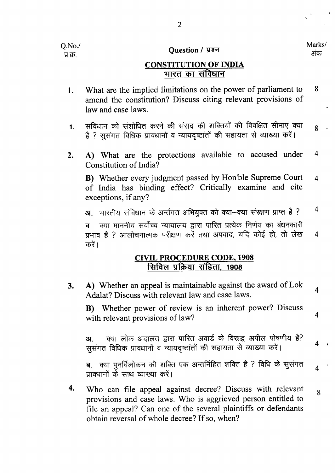$O.No.$ प्र.क्र.

#### Question / प्रश्न

Marks/ अंक

 $\overline{4}$ 

 $\overline{4}$ 

 $\overline{4}$ 

 $\overline{\mathbf{4}}$ 

# **CONSTITUTION OF INDIA** भारत का संविधान

- What are the implied limitations on the power of parliament to 8 1. amend the constitution? Discuss citing relevant provisions of law and case laws.
- संविधान को संशोधित करने की संसद की शक्तियों की विवक्षित सीमाएं क्या  $1<sub>1</sub>$ 8 है ? सुसंगत विधिक प्रावधानों व न्यायदृष्टांतों की सहायता से व्याख्या करें।
- A) What are the protections available to accused under  $\overline{4}$  $2.$ Constitution of India?

B) Whether every judgment passed by Hon'ble Supreme Court  $\overline{4}$ of India has binding effect? Critically examine and cite exceptions, if any?

 $\overline{4}$ भारतीय संविधान के अर्न्तगत अभियुक्त को क्या-क्या संरक्षण प्राप्त है ?  $3I$ 

क्या माननीय सर्वोच्च न्यायालय द्वारा पारित प्रत्येक निर्णय का बंधनकारी ब प्रभाव है ? आलोचनात्मक परीक्षण करें तथा अपवाद, यदि कोई हो, तो लेख  $\overline{4}$ करें।

# **CIVIL PROCEDURE CODE, 1908** सिविल प्रक्रिया संहिता, 1908

A) Whether an appeal is maintainable against the award of Lok  $3.$ Adalat? Discuss with relevant law and case laws.

B) Whether power of review is an inherent power? Discuss with relevant provisions of law?

क्या लोक अदालत द्वारा पारित अवार्ड के विरूद्ध अपील पोषणीय है?  $3I$ सूसंगत विधिक प्रावधानों व न्यायदृष्टांतों की सहायता से व्याख्या करें।

ब. क्या पुनर्विलोकन की शक्ति एक अन्तर्निहित शक्ति है ? विधि के सुसंगत प्रावधानों के साथ व्याख्या करें।

4. Who can file appeal against decree? Discuss with relevant  $\mathbf{8}$ provisions and case laws. Who is aggrieved person entitled to file an appeal? Can one of the several plaintiffs or defendants obtain reversal of whole decree? If so, when?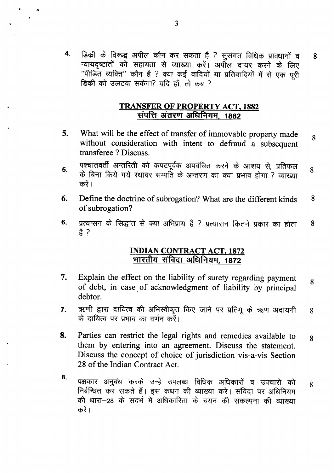डिकी के विरूद्ध अपील कौन कर सकता है ? सुसंगत विधिक प्रावधानों व 4. न्यायदृष्टांतों की सहायता से व्याख्या करें। अपील दायर करने के लिए ''पीड़ित व्यक्ति'' कौन है ? क्या कई वादियों या प्रतिवादियों में से एक पूरी डिकी को उलटवा सकेगा? यदि हाँ, तो कब ?

8

#### **TRANSFER OF PROPERTY ACT, 1882** संपत्ति अंतरण अधिनियम, 1882

- 5. What will be the effect of transfer of immovable property made 8 without consideration with intent to defraud a subsequent transferee? Discuss.
- पश्चातवर्ती अन्तरिती को कपटपूर्वक अपवंचित करने के आशय से, प्रतिफल 5. 8 के बिना किये गये स्थावर सम्पति के अन्तरण का क्या प्रभाव होगा ? व्याख्या करें।
- 6. Define the doctrine of subrogation? What are the different kinds 8 of subrogation?
- प्रत्यासन के सिद्धांत से क्या अभिप्राय है ? प्रत्यासन कितने प्रकार का होता 6. 8 ま ?

#### **INDIAN CONTRACT ACT, 1872** मारतीय संविदा अधिनियम, 1872

- 7. Explain the effect on the liability of surety regarding payment 8 of debt, in case of acknowledgment of liability by principal debtor.
- ऋणी द्वारा दायित्व की अभिस्वीकृत किए जाने पर प्रतिभू के ऋण अदायगी  $\overline{7}$ . 8 के दायित्व पर प्रभाव का वर्णन करें।
- 8. Parties can restrict the legal rights and remedies available to 8 them by entering into an agreement. Discuss the statement. Discuss the concept of choice of jurisdiction vis-a-vis Section 28 of the Indian Contract Act.
- 8. पक्षकार अनुबंध करके उन्हे उपलब्ध विधिक अधिकारों व उपचारों को 8 निर्बन्धित कर सकते हैं। इस कथन की व्याख्या करें। संविदा पर अधिनियम की धारा-28 के संदर्भ में अधिकारिता के चयन की संकल्पना की व्याख्या करें।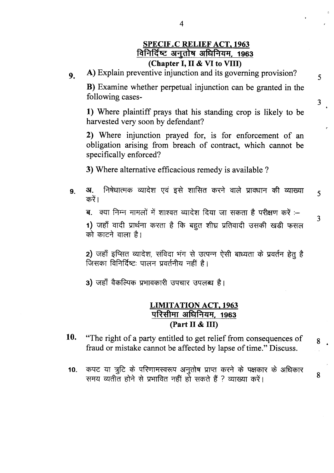# **SPECIF.C RELIEF ACT, 1963** विनिर्दिष्ट अनुतोष अधिनियम, 1963 (Chapter I, II & VI to VIII)

5

 $\overline{3}$ 

5

 $\overline{3}$ 

8

 $\mathbf{g}$ 

A) Explain preventive injunction and its governing provision?  $9<sub>1</sub>$ 

**B**) Examine whether perpetual injunction can be granted in the following cases-

1) Where plaintiff prays that his standing crop is likely to be harvested very soon by defendant?

2) Where injunction prayed for, is for enforcement of an obligation arising from breach of contract, which cannot be specifically enforced?

3) Where alternative efficacious remedy is available ?

निषेधात्मक व्यादेश एवं इसे शासित करने वाले प्रावधान की व्याख्या **3**.  $9<sub>1</sub>$ करें।

ब. क्या निम्न मामलों में शाश्वत व्यादेश दिया जा सकता है परीक्षण करें :–

1) जहाँ वादी प्रार्थना करता है कि बहुत शीघ्र प्रतिवादी उसकी खड़ी फसल को काटने वाला है।

2) जहाँ इप्सित व्यादेश, संविदा भंग से उत्पन्न ऐसी बाध्यता के प्रवर्तन हेतु है जिसका विनिर्दिष्टः पालन प्रवर्तनीय नहीं है।

3) जहाँ वैकल्पिक प्रभावकारी उपचार उपलब्ध है।

#### **LIMITATION ACT, 1963** परिसीमा अधिनियम, 1963 (Part II & III)

- 10. "The right of a party entitled to get relief from consequences of fraud or mistake cannot be affected by lapse of time." Discuss.
- कपट या त्रूटि के परिणामस्वरूप अनुतोष प्राप्त करने के पक्षकार के अधिकार  $10<sub>1</sub>$ समय व्यतीत होने से प्रभावित नहीं हो सकते हैं ? व्याख्या करें।